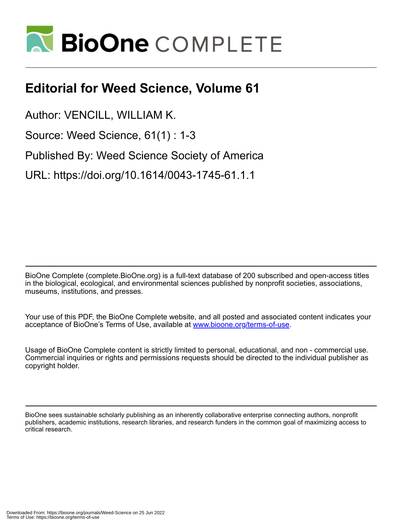

## **Editorial for Weed Science, Volume 61**

Author: VENCILL, WILLIAM K.

Source: Weed Science, 61(1) : 1-3

Published By: Weed Science Society of America

URL: https://doi.org/10.1614/0043-1745-61.1.1

BioOne Complete (complete.BioOne.org) is a full-text database of 200 subscribed and open-access titles in the biological, ecological, and environmental sciences published by nonprofit societies, associations, museums, institutions, and presses.

Your use of this PDF, the BioOne Complete website, and all posted and associated content indicates your acceptance of BioOne's Terms of Use, available at www.bioone.org/terms-of-use.

Usage of BioOne Complete content is strictly limited to personal, educational, and non - commercial use. Commercial inquiries or rights and permissions requests should be directed to the individual publisher as copyright holder.

BioOne sees sustainable scholarly publishing as an inherently collaborative enterprise connecting authors, nonprofit publishers, academic institutions, research libraries, and research funders in the common goal of maximizing access to critical research.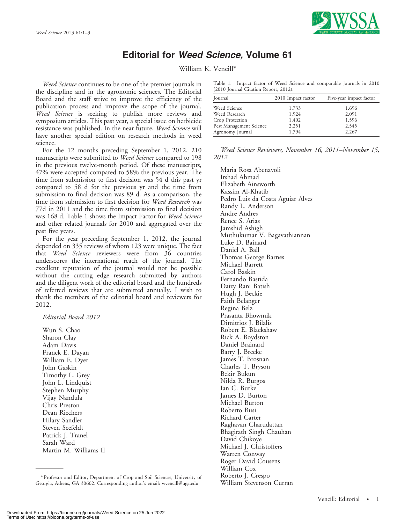

## Editorial for Weed Science, Volume 61

William K. Vencill\*

Weed Science continues to be one of the premier journals in the discipline and in the agronomic sciences. The Editorial Board and the staff strive to improve the efficiency of the publication process and improve the scope of the journal. Weed Science is seeking to publish more reviews and symposium articles. This past year, a special issue on herbicide resistance was published. In the near future, Weed Science will have another special edition on research methods in weed science.

For the 12 months preceding September 1, 2012, 210 manuscripts were submitted to Weed Science compared to 198 in the previous twelve-month period. Of these manuscripts, 47% were accepted compared to 58% the previous year. The time from submission to first decision was 54 d this past yr compared to 58 d for the previous yr and the time from submission to final decision was 89 d. As a comparison, the time from submission to first decision for Weed Research was 77d in 2011 and the time from submission to final decision was 168 d. Table 1 shows the Impact Factor for Weed Science and other related journals for 2010 and aggregated over the past five years.

For the year preceding September 1, 2012, the journal depended on 335 reviews of whom 123 were unique. The fact that Weed Science reviewers were from 36 countries underscores the international reach of the journal. The excellent reputation of the journal would not be possible without the cutting edge research submitted by authors and the diligent work of the editorial board and the hundreds of referred reviews that are submitted annually. I wish to thank the members of the editorial board and reviewers for 2012.

Editorial Board 2012

Wun S. Chao Sharon Clay Adam Davis Franck E. Dayan William E. Dyer John Gaskin Timothy L. Grey John L. Lindquist Stephen Murphy Vijay Nandula Chris Preston Dean Riechers Hilary Sandler Steven Seefeldt Patrick J. Tranel Sarah Ward Martin M. Williams II Table 1. Impact factor of Weed Science and comparable journals in 2010 (2010 Journal Citation Report, 2012).

| Journal                 | 2010 Impact factor | Five-year impact factor |
|-------------------------|--------------------|-------------------------|
| Weed Science            | 1.733              | 1.696                   |
| Weed Research           | 1.924              | 2.091                   |
| Crop Protection         | 1.402              | 1.596                   |
| Pest Management Science | 2.251              | 2.545                   |
| Agronomy Journal        | 1.794              | 2.267                   |

Weed Science Reviewers, November 16, 2011–November 15, 2012

Maria Rosa Abenavoli Irshad Ahmad Elizabeth Ainsworth Kassim Al-Khatib Pedro Luis da Costa Aguiar Alves Randy L. Anderson Andre Andres Renee S. Arias Jamshid Ashigh Muthukumar V. Bagavathiannan Luke D. Bainard Daniel A. Ball Thomas George Barnes Michael Barrett Carol Baskin Fernando Bastida Daizy Rani Batish Hugh J. Beckie Faith Belanger Regina Belz Prasanta Bhowmik Dimitrios J. Bilalis Robert E. Blackshaw Rick A. Boydston Daniel Brainard Barry J. Brecke James T. Brosnan Charles T. Bryson Bekir Bukun Nilda R. Burgos Ian C. Burke James D. Burton Michael Burton Roberto Busi Richard Carter Raghavan Charudattan Bhagirath Singh Chauhan David Chikoye Michael J. Christoffers Warren Conway Roger David Cousens William Cox Roberto J. Crespo

William Stevenson Curran \* Professor and Editor, Department of Crop and Soil Sciences, University of Georgia, Athens, GA 30602. Corresponding author's email: wvencill@uga.edu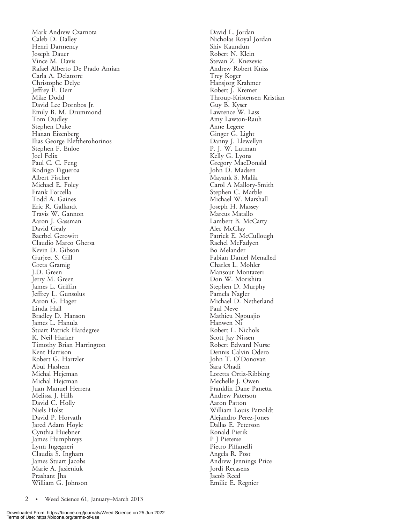Mark Andrew Czarnota Caleb D. Dalley Henri Darmency Joseph Dauer Vince M. Davis Rafael Alberto De Prado Amian Carla A. Delatorre Christophe Delye Jeffrey F. Derr Mike Dodd David Lee Dornbos Jr. Emily B. M. Drummond Tom Dudley Stephen Duke Hanan Eizenberg Ilias George Eleftherohorinos Stephen F. Enloe Joel Felix Paul C. C. Feng Rodrigo Figueroa Albert Fischer Michael E. Foley Frank Forcella Todd A. Gaines Eric R. Gallandt Travis W. Gannon Aaron J. Gassman David Gealy Baerbel Gerowitt Claudio Marco Ghersa Kevin D. Gibson Gurjeet S. Gill Greta Gramig J.D. Green Jerry M. Green James L. Griffin Jeffrey L. Gunsolus Aaron G. Hager Linda Hall Bradley D. Hanson James L. Hanula Stuart Patrick Hardegree K. Neil Harker Timothy Brian Harrington Kent Harrison Robert G. Hartzler Abul Hashem Michal Hejcman Michal Hejcman Juan Manuel Herrera Melissa J. Hills David C. Holly Niels Holst David P. Horvath Jared Adam Hoyle Cynthia Huebner James Humphreys Lynn Ingegneri Claudia S. Ingham James Stuart Jacobs Marie A. Jasieniuk Prashant Jha William G. Johnson

David L. Jordan Nicholas Royal Jordan Shiv Kaundun Robert N. Klein Stevan Z. Knezevic Andrew Robert Kniss Trey Koger Hansjorg Krahmer Robert J. Kremer Throup-Kristensen Kristian Guy B. Kyser Lawrence W. Lass Amy Lawton-Rauh Anne Legere Ginger G. Light Danny J. Llewellyn P. J. W. Lutman Kelly G. Lyons Gregory MacDonald John D. Madsen Mayank S. Malik Carol A Mallory-Smith Stephen C. Marble Michael W. Marshall Joseph H. Massey Marcus Matallo Lambert B. McCarty Alec McClay Patrick E. McCullough Rachel McFadyen Bo Melander Fabian Daniel Menalled Charles L. Mohler Mansour Montazeri Don W. Morishita Stephen D. Murphy Pamela Nagler Michael D. Netherland Paul Neve Mathieu Ngouajio Hanwen Ni Robert L. Nichols Scott Jay Nissen Robert Edward Nurse Dennis Calvin Odero John T. O'Donovan Sara Ohadi Loretta Ortiz-Ribbing Mechelle J. Owen Franklin Dane Panetta Andrew Paterson Aaron Patton William Louis Patzoldt Alejandro Perez-Jones Dallas E. Peterson Ronald Pierik P J Pieterse Pietro Piffanelli Angela R. Post Andrew Jennings Price Jordi Recasens Jacob Reed Emilie E. Regnier

2 • Weed Science 61, January–March 2013